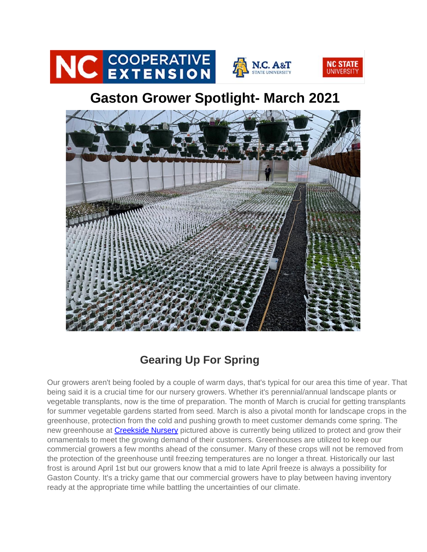

## **Gaston Grower Spotlight- March 2021**



## **Gearing Up For Spring**

Our growers aren't being fooled by a couple of warm days, that's typical for our area this time of year. That being said it is a crucial time for our nursery growers. Whether it's perennial/annual landscape plants or vegetable transplants, now is the time of preparation. The month of March is crucial for getting transplants for summer vegetable gardens started from seed. March is also a pivotal month for landscape crops in the greenhouse, protection from the cold and pushing growth to meet customer demands come spring. The new greenhouse at [Creekside Nursery](http://r20.rs6.net/tn.jsp?t=gjec5rbbb.0.0.fuixvrpab.0&id=preview&r=3&p=https%3A%2F%2Fgardeningwithcreekside.com%2F) pictured above is currently being utilized to protect and grow their ornamentals to meet the growing demand of their customers. Greenhouses are utilized to keep our commercial growers a few months ahead of the consumer. Many of these crops will not be removed from the protection of the greenhouse until freezing temperatures are no longer a threat. Historically our last frost is around April 1st but our growers know that a mid to late April freeze is always a possibility for Gaston County. It's a tricky game that our commercial growers have to play between having inventory ready at the appropriate time while battling the uncertainties of our climate.